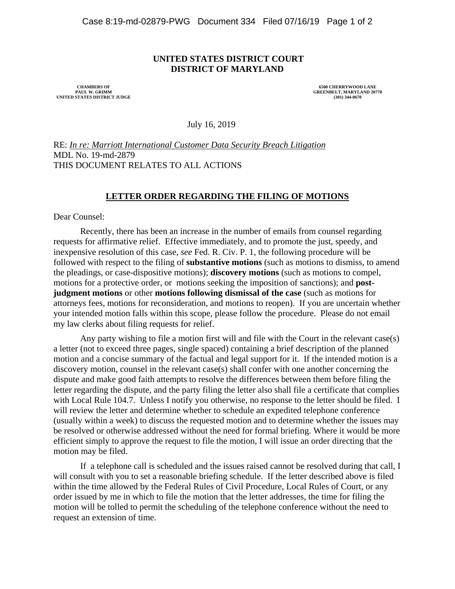## **UNITED STATES DISTRICT COURT DISTRICT OF MARYLAND**

 **PAUL W. GRIMM GREENBELT, MARYLAND 20770 UNITED STATES DISTRICT JUDGE (301) 344-0670** 

**CHAMBERS OF 6500 CHERRYWOOD LANE 6500 CHERRYWOOD LANE 6500 CHERRYWOOD LANE 6500 CHERRYWOOD LANE** 

July 16, 2019

RE: *In re: Marriott International Customer Data Security Breach Litigation* MDL No. 19-md-2879 THIS DOCUMENT RELATES TO ALL ACTIONS

## **LETTER ORDER REGARDING THE FILING OF MOTIONS**

Dear Counsel:

Recently, there has been an increase in the number of emails from counsel regarding requests for affirmative relief. Effective immediately, and to promote the just, speedy, and inexpensive resolution of this case, *see* Fed. R. Civ. P. 1, the following procedure will be followed with respect to the filing of **substantive motions** (such as motions to dismiss, to amend the pleadings, or case-dispositive motions); **discovery motions** (such as motions to compel, motions for a protective order, or motions seeking the imposition of sanctions); and **postjudgment motions** or other **motions following dismissal of the case** (such as motions for attorneys fees, motions for reconsideration, and motions to reopen). If you are uncertain whether your intended motion falls within this scope, please follow the procedure. Please do not email my law clerks about filing requests for relief.

Any party wishing to file a motion first will and file with the Court in the relevant case(s) a letter (not to exceed three pages, single spaced) containing a brief description of the planned motion and a concise summary of the factual and legal support for it. If the intended motion is a discovery motion, counsel in the relevant case(s) shall confer with one another concerning the dispute and make good faith attempts to resolve the differences between them before filing the letter regarding the dispute, and the party filing the letter also shall file a certificate that complies with Local Rule 104.7. Unless I notify you otherwise, no response to the letter should be filed. I will review the letter and determine whether to schedule an expedited telephone conference (usually within a week) to discuss the requested motion and to determine whether the issues may be resolved or otherwise addressed without the need for formal briefing. Where it would be more efficient simply to approve the request to file the motion, I will issue an order directing that the motion may be filed.

 If a telephone call is scheduled and the issues raised cannot be resolved during that call, I will consult with you to set a reasonable briefing schedule. If the letter described above is filed within the time allowed by the Federal Rules of Civil Procedure, Local Rules of Court, or any order issued by me in which to file the motion that the letter addresses, the time for filing the motion will be tolled to permit the scheduling of the telephone conference without the need to request an extension of time.